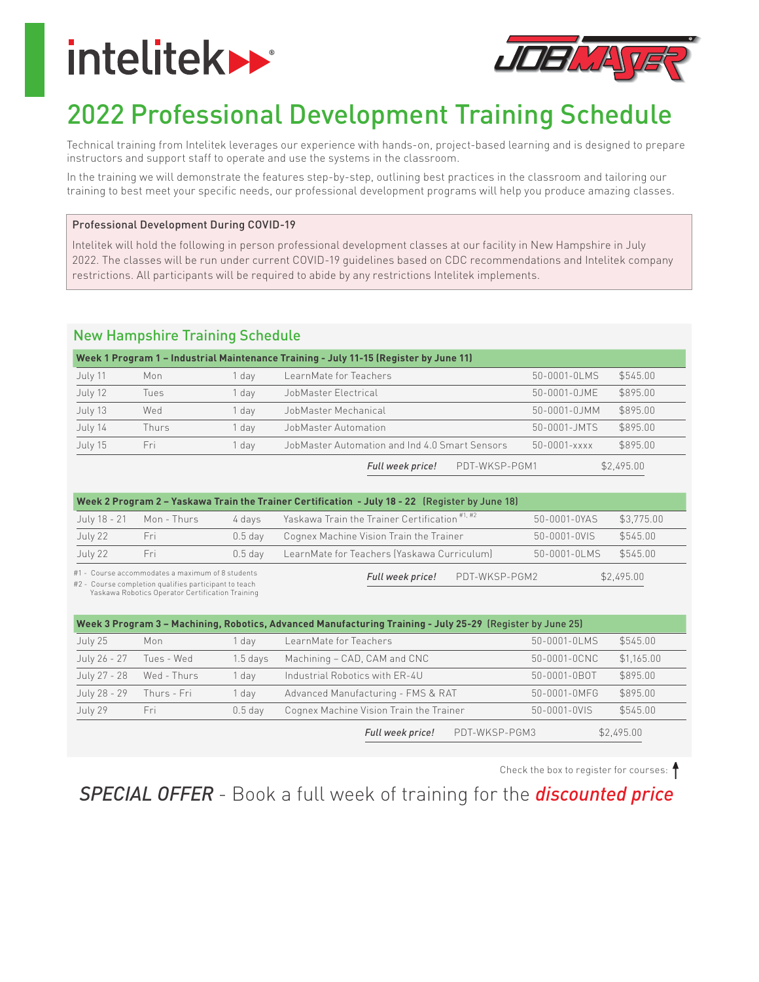# **intelitek>>**



# 2022 Professional Development Training Schedule

Technical training from Intelitek leverages our experience with hands-on, project-based learning and is designed to prepare instructors and support staff to operate and use the systems in the classroom.

In the training we will demonstrate the features step-by-step, outlining best practices in the classroom and tailoring our training to best meet your specific needs, our professional development programs will help you produce amazing classes.

#### Professional Development During COVID-19

Intelitek will hold the following in person professional development classes at our facility in New Hampshire in July 2022. The classes will be run under current COVID-19 guidelines based on CDC recommendations and Intelitek company restrictions. All participants will be required to abide by any restrictions Intelitek implements.

## **New Hampshire Training Schedule**

|         |       |       | Week 1 Program 1 - Industrial Maintenance Training - July 11-15 (Register by June 11) |                    |            |
|---------|-------|-------|---------------------------------------------------------------------------------------|--------------------|------------|
| July 11 | Mon   | 1 dav | LearnMate for Teachers                                                                | 50-0001-0LMS       | \$545.00   |
| July 12 | Tues  | l dav | JobMaster Electrical                                                                  | 50-0001-0.JME      | \$895.00   |
| July 13 | Wed   | I dav | JobMaster Mechanical                                                                  | 50-0001-0JMM       | \$895.00   |
| July 14 | Thurs | l dav | JobMaster Automation                                                                  | 50-0001-JMTS       | \$895.00   |
| July 15 | Fri   | dav   | JobMaster Automation and Ind 4.0 Smart Sensors                                        | $50 - 0001 - xxxx$ | \$895.00   |
|         |       |       | PDT-WKSP-PGM1<br>Full week price!                                                     |                    | \$2,495.00 |

| <b>FULL WEEK PITCE!</b> | PUI-WASP-PUMI |
|-------------------------|---------------|
|                         |               |

| Week 2 Program 2 - Yaskawa Train the Trainer Certification - July 18 - 22 (Register by June 18) |             |           |                                                          |              |            |
|-------------------------------------------------------------------------------------------------|-------------|-----------|----------------------------------------------------------|--------------|------------|
| July 18 - 21                                                                                    | Mon - Thurs | 4 davs    | Yaskawa Train the Trainer Certification <sup>#1,#2</sup> | 50-0001-0YAS | \$3.775.00 |
| July 22                                                                                         | <u>Fri</u>  | $0.5$ dav | Cognex Machine Vision Train the Trainer                  | 50-0001-0VIS | \$545.00   |
| July 22                                                                                         | Fri.        | $0.5$ dav | LearnMate for Teachers (Yaskawa Curriculum)              | 50-0001-0LMS | \$545.00   |
| #1 - Course accommodates a maximum of 8 students                                                |             |           | PNT-WKSP-PGM2<br>Full week pricel                        |              | \$2,495,00 |

#1 - Course accommodates a maximum of 8 students

#2 - Course completion qualifies participant to teach<br>Yaskawa Robotics Operator Certification Training

| Week 3 Program 3 - Machining, Robotics, Advanced Manufacturing Training - July 25-29 (Register by June 25) |             |            |                                         |               |              |            |
|------------------------------------------------------------------------------------------------------------|-------------|------------|-----------------------------------------|---------------|--------------|------------|
| July 25                                                                                                    | Mon         | dav        | LearnMate for Teachers                  |               | 50-0001-0LMS | \$545.00   |
| July 26 - 27                                                                                               | Tues - Wed  | $1.5$ days | Machining - CAD, CAM and CNC            |               | 50-0001-0CNC | \$1,165.00 |
| July 27 - 28                                                                                               | Wed - Thurs | 1 dav      | Industrial Robotics with ER-4U          |               | 50-0001-0BOT | \$895.00   |
| July 28 - 29                                                                                               | Thurs - Fri | 1 dav      | Advanced Manufacturing - FMS & RAT      |               | 50-0001-0MFG | \$895.00   |
| July 29                                                                                                    | Fri         | $0.5$ day  | Cognex Machine Vision Train the Trainer |               | 50-0001-0VIS | \$545.00   |
|                                                                                                            |             |            | Full week price!                        | PDT-WKSP-PGM3 |              | \$2,495.00 |

Check the box to register for courses:

**SPECIAL OFFER** - Book a full week of training for the **discounted price**